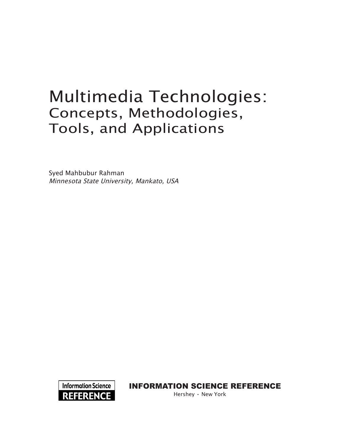# Multimedia Technologies: Concepts, Methodologies, Tools, and Applications

Syed Mahbubur Rahman Minnesota State University, Mankato, USA



INFORMATION SCIENCE REFERENCE

Hershey • New York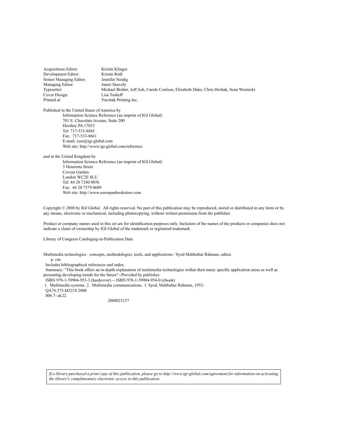Acquisitions Editor: Kristin Klinger<br>
Development Editor: Kristin Roth Development Editor: Senior Managing Editor: Jennifer Neidig Managing Editor: Jamie Snavely Typesetter: Michael Brehm, Jeff Ash, Carole Coulson, Elizabeth Duke, Chris Hrobak, Sean Woznicki Cover Design: Printed at: Yurchak Printing Inc.

Published in the United States of America by Information Science Reference (an imprint of IGI Global) 701 E. Chocolate Avenue, Suite 200 Hershey PA 17033 Tel: 717-533-8845 Fax: 717-533-8661 E-mail: cust@igi-global.com Web site: http://www.igi-global.com/reference

and in the United Kingdom by

Information Science Reference (an imprint of IGI Global) 3 Henrietta Street Covent Garden London WC2E 8LU Tel: 44 20 7240 0856 Fax: 44 20 7379 0609 Web site: http://www.eurospanbookstore.com

Copyright © 2008 by IGI Global. All rights reserved. No part of this publication may be reproduced, stored or distributed in any form or by any means, electronic or mechanical, including photocopying, without written permission from the publisher.

Product or company names used in this set are for identification purposes only. Inclusion of the names of the products or companies does not indicate a claim of ownership by IGI Global of the trademark or registered trademark.

Library of Congress Cataloging-in-Publication Data

Multimedia technologies : concepts, methodologies, tools, and applications / Syed Mahbubur Rahman, editor.

p. cm.

Includes bibliographical references and index.

 Summary: "This book offers an in-depth explanation of multimedia technologies within their many specific application areas as well as presenting developing trends for the future"--Provided by publisher.

ISBN 978-1-59904-953-3 (hardcover) -- ISBN 978-1-59904-954-0 (ebook)

1. Multimedia systems. 2. Multimedia communications. I. Syed, Mahbubur Rahman, 1952-

QA76.575.M5218 2008

006.7--dc22

2008021157

*If a library purchased a print copy of this publication, please go to http://www.igi-global.com/agreement for information on activating the library's complimentary electronic access to this publication.*